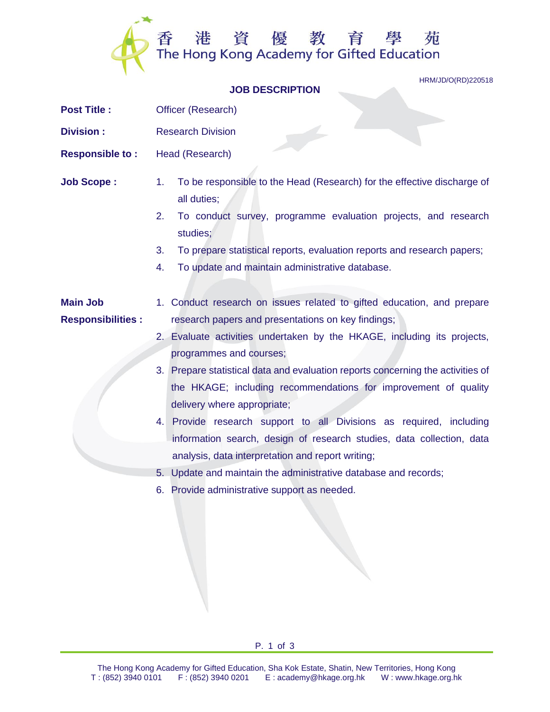

HRM/JD/O(RD)220518

## **JOB DESCRIPTION**

- **Post Title :** Officer (Research)
- **Division :** Research Division
- **Responsible to :** Head (Research)
- **Job Scope :** 1. To be responsible to the Head (Research) for the effective discharge of all duties;
	- 2. To conduct survey, programme evaluation projects, and research studies;
	- 3. To prepare statistical reports, evaluation reports and research papers;
	- 4. To update and maintain administrative database.

## **Main Job Responsibilities :** 1. Conduct research on issues related to gifted education, and prepare research papers and presentations on key findings;

- 2. Evaluate activities undertaken by the HKAGE, including its projects, programmes and courses;
- 3. Prepare statistical data and evaluation reports concerning the activities of the HKAGE; including recommendations for improvement of quality delivery where appropriate;
- 4. Provide research support to all Divisions as required, including information search, design of research studies, data collection, data analysis, data interpretation and report writing;
- 5. Update and maintain the administrative database and records;
- 6. Provide administrative support as needed.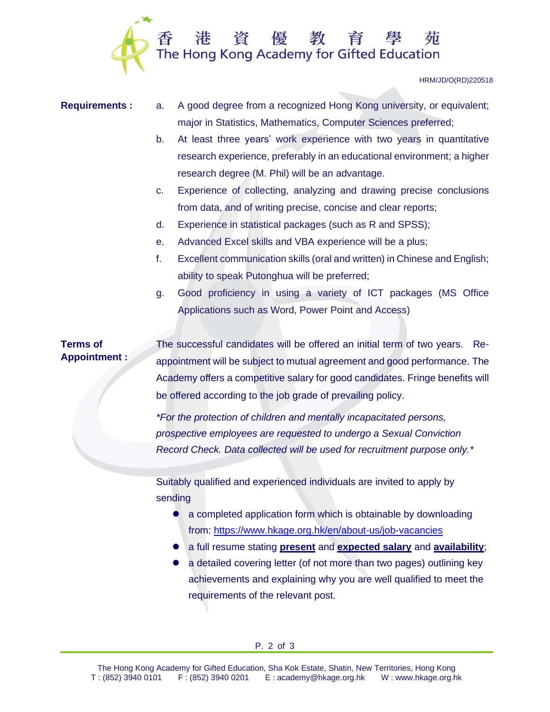

HRM/JD/O(RD)220518

- **Requirements :** a. A good degree from a recognized Hong Kong university, or equivalent; major in Statistics, Mathematics, Computer Sciences preferred;
	- b. At least three years' work experience with two years in quantitative research experience, preferably in an educational environment; a higher research degree (M. Phil) will be an advantage.
	- c. Experience of collecting, analyzing and drawing precise conclusions from data, and of writing precise, concise and clear reports;
	- d. Experience in statistical packages (such as R and SPSS);
	- e. Advanced Excel skills and VBA experience will be a plus;
	- f. Excellent communication skills (oral and written) in Chinese and English; ability to speak Putonghua will be preferred;
	- g. Good proficiency in using a variety of ICT packages (MS Office Applications such as Word, Power Point and Access)

## **Terms of Appointment :**

The successful candidates will be offered an initial term of two years. Reappointment will be subject to mutual agreement and good performance. The Academy offers a competitive salary for good candidates. Fringe benefits will be offered according to the job grade of prevailing policy.

*\*For the protection of children and mentally incapacitated persons, prospective employees are requested to undergo a Sexual Conviction Record Check. Data collected will be used for recruitment purpose only.\**

Suitably qualified and experienced individuals are invited to apply by sending

- a completed application form which is obtainable by downloading from: <https://www.hkage.org.hk/en/about-us/job-vacancies>
- ⚫ a full resume stating **present** and **expected salary** and **availability**;
- a detailed covering letter (of not more than two pages) outlining key achievements and explaining why you are well qualified to meet the requirements of the relevant post.